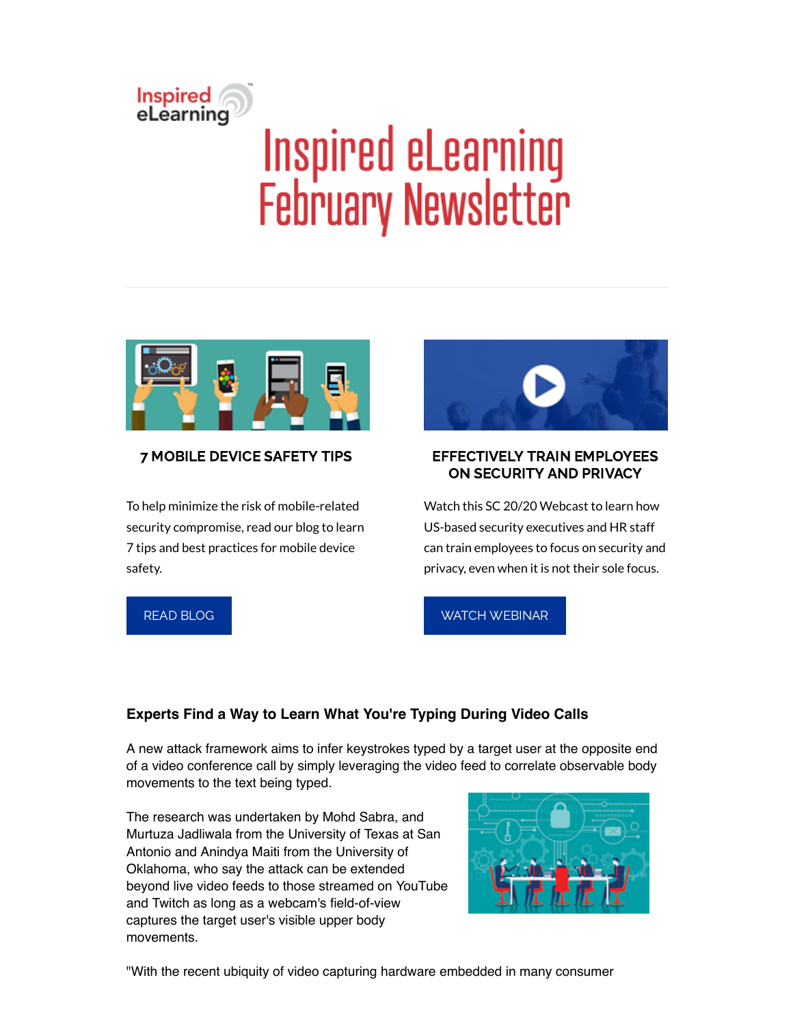# Inspired<br>eLearning **Inspired eLearning<br>February Newsletter**



# 7 MOBILE DEVICE SAFETY TIPS

To help minimize the risk of mobile-related security compromise, read our blog to learn 7 tips and best practices for mobile device safety.



# EFFECTIVELY TRAIN EMPLOYEES ON SECURITY AND PRIVACY

Watch this SC 20/20 Webcast to learn how US-based security executives and HR staff can train employees to focus on security and privacy, even when it is not their sole focus.

READ [BLOG](https://inspiredelearning.com/blog/7-mobile-device-safety-tips/)

# WATCH [WEBINAR](https://inspiredelearning.com/resource/webinar-effectively-train-employees-on-security-and-privacy/)

# **Experts Find a Way to Learn What You're Typing During Video Calls**

A new attack framework aims to infer keystrokes typed by a target user at the opposite end of a video conference call by simply leveraging the video feed to correlate observable body movements to the text being typed.

The research was undertaken by Mohd Sabra, and Murtuza Jadliwala from the University of Texas at San Antonio and Anindya Maiti from the University of Oklahoma, who say the attack can be extended beyond live video feeds to those streamed on YouTube and Twitch as long as a webcam's field-of-view captures the target user's visible upper body movements.



"With the recent ubiquity of video capturing hardware embedded in many consumer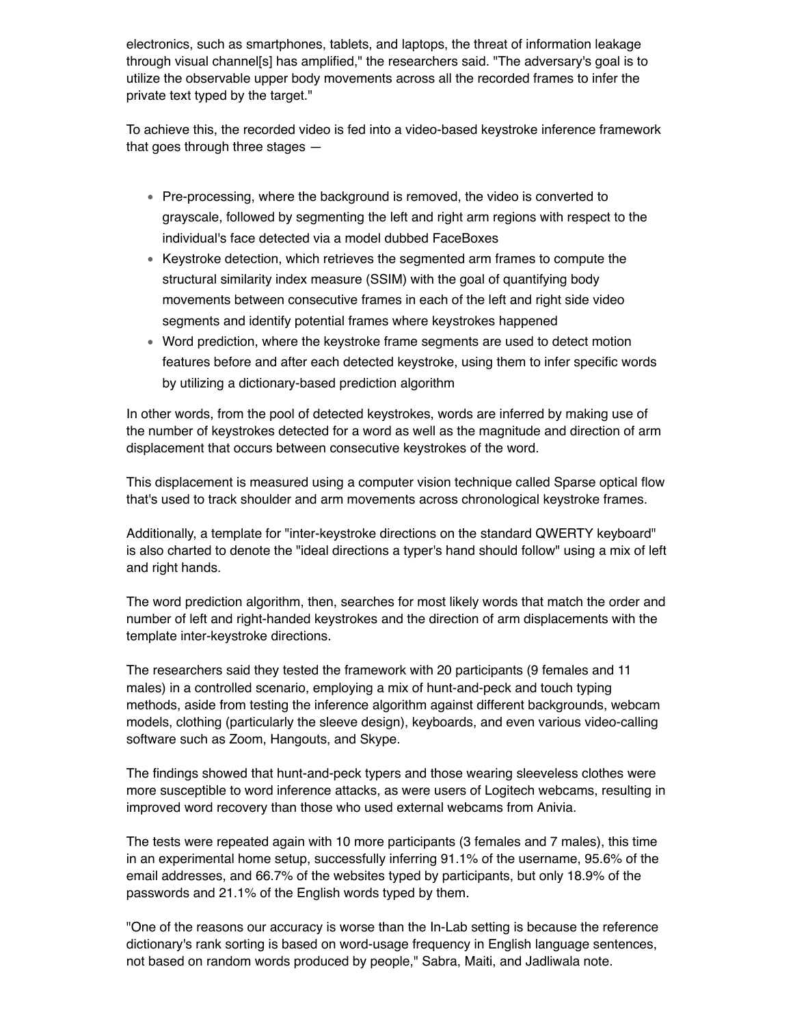electronics, such as smartphones, tablets, and laptops, the threat of information leakage through visual channel[s] has amplified," the researchers said. "The adversary's goal is to utilize the observable upper body movements across all the recorded frames to infer the private text typed by the target."

To achieve this, the recorded video is fed into a video-based keystroke inference framework that goes through three stages —

- Pre-processing, where the background is removed, the video is converted to grayscale, followed by segmenting the left and right arm regions with respect to the individual's face detected via a model dubbed FaceBoxes
- Keystroke detection, which retrieves the segmented arm frames to compute the structural similarity index measure (SSIM) with the goal of quantifying body movements between consecutive frames in each of the left and right side video segments and identify potential frames where keystrokes happened
- Word prediction, where the keystroke frame segments are used to detect motion features before and after each detected keystroke, using them to infer specific words by utilizing a dictionary-based prediction algorithm

In other words, from the pool of detected keystrokes, words are inferred by making use of the number of keystrokes detected for a word as well as the magnitude and direction of arm displacement that occurs between consecutive keystrokes of the word.

This displacement is measured using a computer vision technique called Sparse optical flow that's used to track shoulder and arm movements across chronological keystroke frames.

Additionally, a template for "inter-keystroke directions on the standard QWERTY keyboard" is also charted to denote the "ideal directions a typer's hand should follow" using a mix of left and right hands.

The word prediction algorithm, then, searches for most likely words that match the order and number of left and right-handed keystrokes and the direction of arm displacements with the template inter-keystroke directions.

The researchers said they tested the framework with 20 participants (9 females and 11 males) in a controlled scenario, employing a mix of hunt-and-peck and touch typing methods, aside from testing the inference algorithm against different backgrounds, webcam models, clothing (particularly the sleeve design), keyboards, and even various video-calling software such as Zoom, Hangouts, and Skype.

The findings showed that hunt-and-peck typers and those wearing sleeveless clothes were more susceptible to word inference attacks, as were users of Logitech webcams, resulting in improved word recovery than those who used external webcams from Anivia.

The tests were repeated again with 10 more participants (3 females and 7 males), this time in an experimental home setup, successfully inferring 91.1% of the username, 95.6% of the email addresses, and 66.7% of the websites typed by participants, but only 18.9% of the passwords and 21.1% of the English words typed by them.

"One of the reasons our accuracy is worse than the In-Lab setting is because the reference dictionary's rank sorting is based on word-usage frequency in English language sentences, not based on random words produced by people," Sabra, Maiti, and Jadliwala note.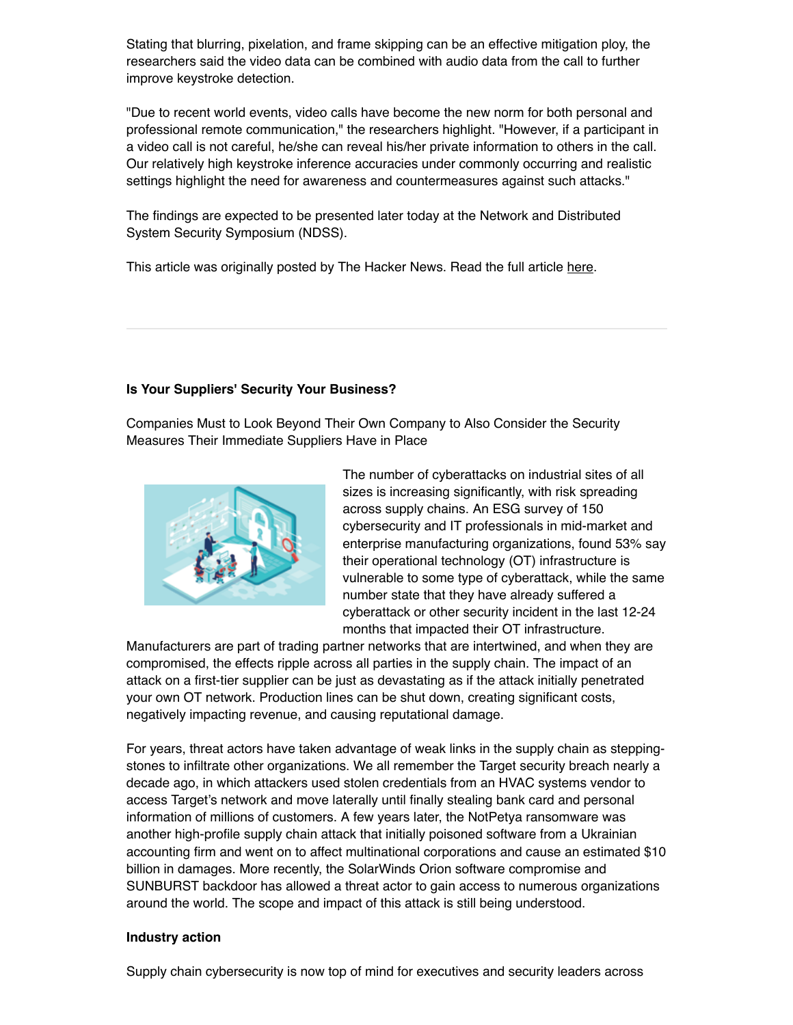Stating that blurring, pixelation, and frame skipping can be an effective mitigation ploy, the researchers said the video data can be combined with audio data from the call to further improve keystroke detection.

"Due to recent world events, video calls have become the new norm for both personal and professional remote communication," the researchers highlight. "However, if a participant in a video call is not careful, he/she can reveal his/her private information to others in the call. Our relatively high keystroke inference accuracies under commonly occurring and realistic settings highlight the need for awareness and countermeasures against such attacks."

The findings are expected to be presented later today at the Network and Distributed System Security Symposium (NDSS).

This article was originally posted by The Hacker News. Read the full article [here](https://thehackernews.com/2021/02/experts-find-way-to-learn-what-youre.html?utm_source=feedburner&utm_medium=feed&utm_campaign=Feed%3A+TheHackersNews+%28The+Hackers+News+-+Cyber+Security+Blog%29).

## **Is Your Suppliers' Security Your Business?**

Companies Must to Look Beyond Their Own Company to Also Consider the Security Measures Their Immediate Suppliers Have in Place



The number of cyberattacks on industrial sites of all sizes is increasing significantly, with risk spreading across supply chains. An ESG survey of 150 cybersecurity and IT professionals in mid-market and enterprise manufacturing organizations, found 53% say their operational technology (OT) infrastructure is vulnerable to some type of cyberattack, while the same number state that they have already suffered a cyberattack or other security incident in the last 12-24 months that impacted their OT infrastructure.

Manufacturers are part of trading partner networks that are intertwined, and when they are compromised, the effects ripple across all parties in the supply chain. The impact of an attack on a first-tier supplier can be just as devastating as if the attack initially penetrated your own OT network. Production lines can be shut down, creating significant costs, negatively impacting revenue, and causing reputational damage.

For years, threat actors have taken advantage of weak links in the supply chain as steppingstones to infiltrate other organizations. We all remember the Target security breach nearly a decade ago, in which attackers used stolen credentials from an HVAC systems vendor to access Target's network and move laterally until finally stealing bank card and personal information of millions of customers. A few years later, the NotPetya ransomware was another high-profile supply chain attack that initially poisoned software from a Ukrainian accounting firm and went on to affect multinational corporations and cause an estimated \$10 billion in damages. More recently, the SolarWinds Orion software compromise and SUNBURST backdoor has allowed a threat actor to gain access to numerous organizations around the world. The scope and impact of this attack is still being understood.

#### **Industry action**

Supply chain cybersecurity is now top of mind for executives and security leaders across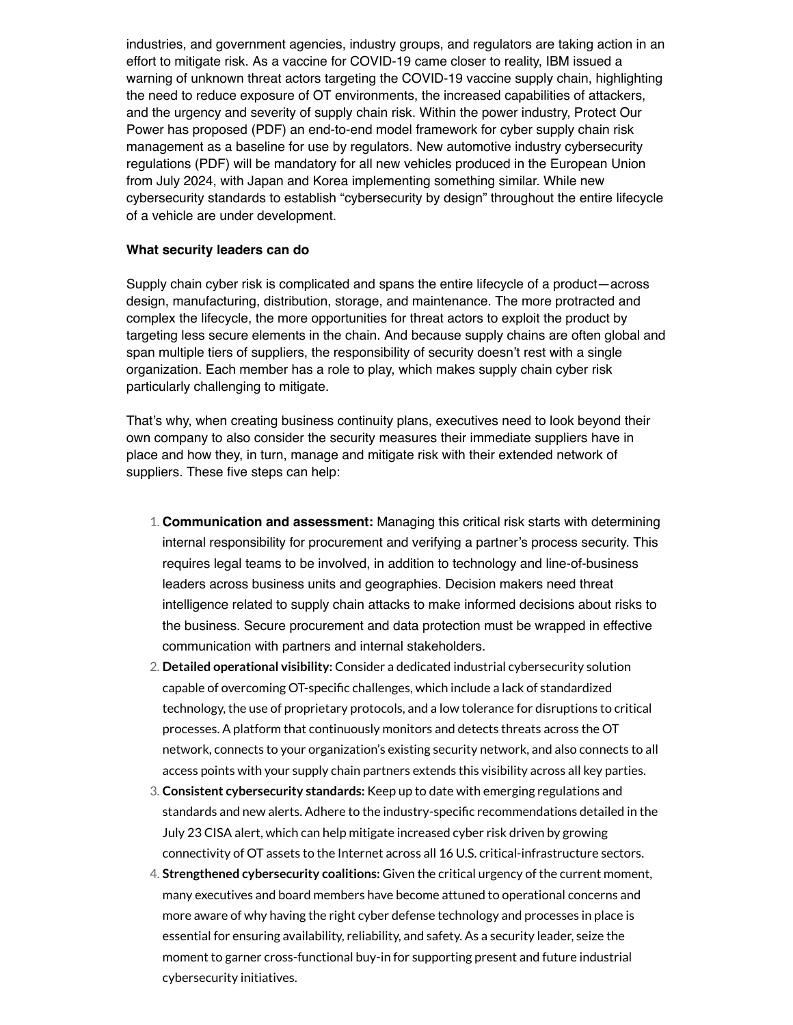industries, and government agencies, industry groups, and regulators are taking action in an effort to mitigate risk. As a vaccine for COVID-19 came closer to reality, IBM issued a warning of unknown threat actors targeting the COVID-19 vaccine supply chain, highlighting the need to reduce exposure of OT environments, the increased capabilities of attackers, and the urgency and severity of supply chain risk. Within the power industry, Protect Our Power has proposed (PDF) an end-to-end model framework for cyber supply chain risk management as a baseline for use by regulators. New automotive industry cybersecurity regulations (PDF) will be mandatory for all new vehicles produced in the European Union from July 2024, with Japan and Korea implementing something similar. While new cybersecurity standards to establish "cybersecurity by design" throughout the entire lifecycle of a vehicle are under development.

#### **What security leaders can do**

Supply chain cyber risk is complicated and spans the entire lifecycle of a product—across design, manufacturing, distribution, storage, and maintenance. The more protracted and complex the lifecycle, the more opportunities for threat actors to exploit the product by targeting less secure elements in the chain. And because supply chains are often global and span multiple tiers of suppliers, the responsibility of security doesn't rest with a single organization. Each member has a role to play, which makes supply chain cyber risk particularly challenging to mitigate.

That's why, when creating business continuity plans, executives need to look beyond their own company to also consider the security measures their immediate suppliers have in place and how they, in turn, manage and mitigate risk with their extended network of suppliers. These five steps can help:

- 1. **Communication and assessment:** Managing this critical risk starts with determining internal responsibility for procurement and verifying a partner's process security. This requires legal teams to be involved, in addition to technology and line-of-business leaders across business units and geographies. Decision makers need threat intelligence related to supply chain attacks to make informed decisions about risks to the business. Secure procurement and data protection must be wrapped in effective communication with partners and internal stakeholders.
- 2. **Detailed operational visibility:** Consider a dedicated industrial cybersecurity solution capable of overcoming OT-specific challenges, which include a lack of standardized technology, the use of proprietary protocols, and a low tolerance for disruptions to critical processes. A platform that continuously monitors and detects threats across the OT network, connects to your organization's existing security network, and also connects to all access points with your supply chain partners extends this visibility across all key parties.
- 3. **Consistent cybersecurity standards:** Keep up to date with emerging regulations and standards and new alerts. Adhere to the industry-specific recommendations detailed in the July 23 CISA alert, which can help mitigate increased cyber risk driven by growing connectivity of OT assets to the Internet across all 16 U.S. critical-infrastructure sectors.
- 4. **Strengthened cybersecurity coalitions:** Given the critical urgency of the current moment, many executives and board members have become attuned to operational concerns and more aware of why having the right cyber defense technology and processes in place is essential for ensuring availability, reliability, and safety. As a security leader, seize the moment to garner cross-functional buy-in for supporting present and future industrial cybersecurity initiatives.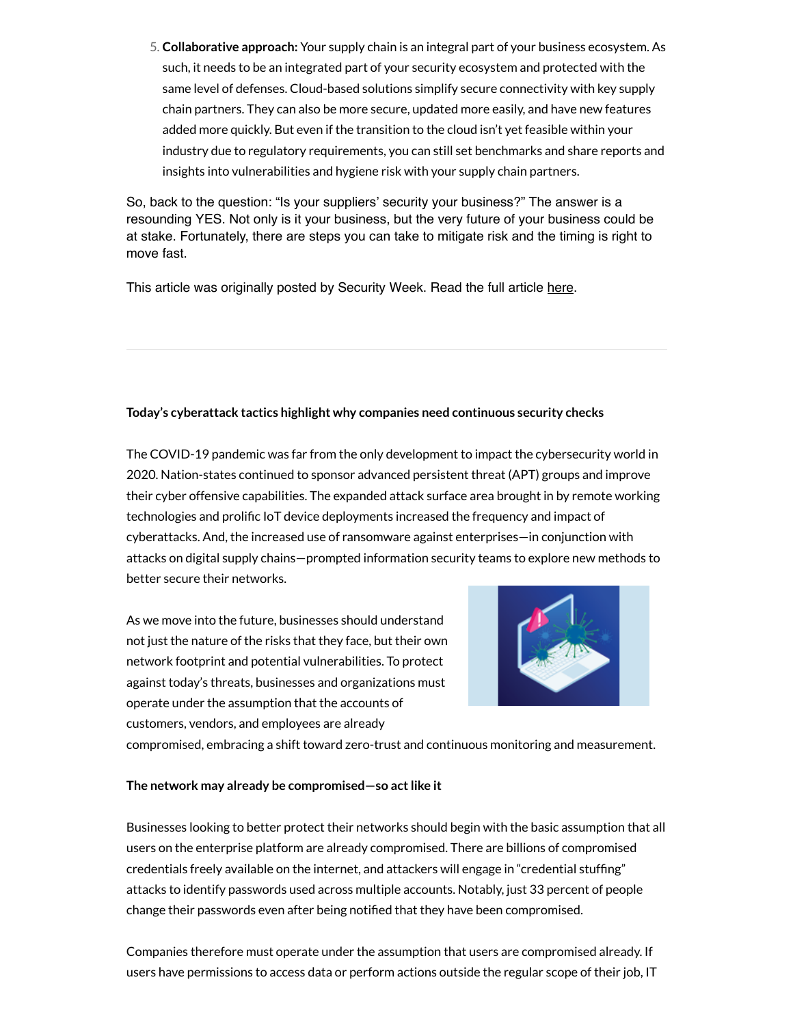5. **Collaborative approach:** Your supply chain is an integral part of your business ecosystem. As such, it needs to be an integrated part of your security ecosystem and protected with the same level of defenses. Cloud-based solutions simplify secure connectivity with key supply chain partners. They can also be more secure, updated more easily, and have new features added more quickly. But even if the transition to the cloud isn't yet feasible within your industry due to regulatory requirements, you can still set benchmarks and share reports and insights into vulnerabilities and hygiene risk with your supply chain partners.

So, back to the question: "Is your suppliers' security your business?" The answer is a resounding YES. Not only is it your business, but the very future of your business could be at stake. Fortunately, there are steps you can take to mitigate risk and the timing is right to move fast.

This article was originally posted by Security Week. Read the full article [here](https://www.securityweek.com/your-suppliers-security-your-business?utm_source=feedburner&utm_medium=feed&utm_campaign=Feed%3A+Securityweek+%28SecurityWeek+RSS+Feed%29).

## **Today's cyberattack tactics highlight why companies need continuous security checks**

The COVID-19 pandemic was far from the only development to impact the cybersecurity world in 2020. Nation-states continued to sponsor advanced persistent threat (APT) groups and improve their cyber offensive capabilities. The expanded attack surface area brought in by remote working technologies and prolific IoT device deployments increased the frequency and impact of cyberattacks. And, the increased use of ransomware against enterprises—in conjunction with attacks on digital supply chains—prompted information security teams to explore new methods to better secure their networks.

As we move into the future, businesses should understand not just the nature of the risks that they face, but their own network footprint and potential vulnerabilities. To protect against today's threats, businesses and organizations must operate under the assumption that the accounts of customers, vendors, and employees are already



compromised, embracing a shift toward zero-trust and continuous monitoring and measurement.

#### **The network may already be compromised—so actlike it**

Businesses looking to better protect their networks should begin with the basic assumption that all users on the enterprise platform are already compromised. There are billions of compromised credentials freely available on the internet, and attackers will engage in "credential stufng" attacks to identify passwords used across multiple accounts. Notably, just 33 percent of people change their passwords even after being notified that they have been compromised.

Companies therefore must operate under the assumption that users are compromised already. If users have permissions to access data or perform actions outside the regular scope of their job, IT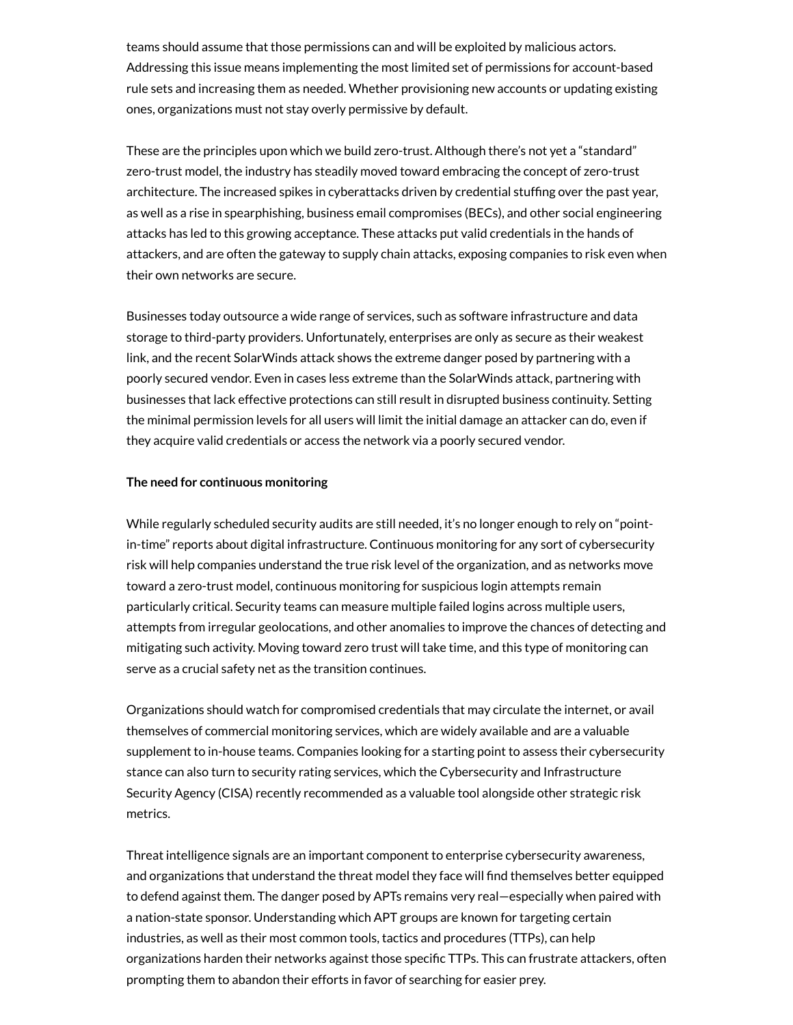teams should assume that those permissions can and will be exploited by malicious actors. Addressing this issue means implementing the most limited set of permissions for account-based rule sets and increasing them as needed. Whether provisioning new accounts or updating existing ones, organizations must not stay overly permissive by default.

These are the principles upon which we build zero-trust. Although there's not yet a "standard" zero-trust model, the industry has steadily moved toward embracing the concept of zero-trust architecture. The increased spikes in cyberattacks driven by credential stufng over the past year, as well as a rise in spearphishing, business email compromises (BECs), and other social engineering attacks has led to this growing acceptance. These attacks put valid credentials in the hands of attackers, and are often the gateway to supply chain attacks, exposing companies to risk even when their own networks are secure.

Businesses today outsource a wide range of services, such as software infrastructure and data storage to third-party providers. Unfortunately, enterprises are only as secure as their weakest link, and the recent SolarWinds attack shows the extreme danger posed by partnering with a poorly secured vendor. Even in cases less extreme than the SolarWinds attack, partnering with businesses that lack effective protections can still result in disrupted business continuity. Setting the minimal permission levels for all users will limit the initial damage an attacker can do, even if they acquire valid credentials or access the network via a poorly secured vendor.

#### **The need for continuous monitoring**

While regularly scheduled security audits are still needed, it's no longer enough to rely on "pointin-time" reports about digital infrastructure. Continuous monitoring for any sort of cybersecurity risk will help companies understand the true risk level of the organization, and as networks move toward a zero-trust model, continuous monitoring for suspicious login attempts remain particularly critical. Security teams can measure multiple failed logins across multiple users, attempts from irregular geolocations, and other anomalies to improve the chances of detecting and mitigating such activity. Moving toward zero trust will take time, and this type of monitoring can serve as a crucial safety net as the transition continues.

Organizations should watch for compromised credentials that may circulate the internet, or avail themselves of commercial monitoring services, which are widely available and are a valuable supplement to in-house teams. Companies looking for a starting point to assess their cybersecurity stance can also turn to security rating services, which the Cybersecurity and Infrastructure Security Agency (CISA) recently recommended as a valuable tool alongside other strategic risk metrics.

Threat intelligence signals are an important component to enterprise cybersecurity awareness, and organizations that understand the threat model they face will find themselves better equipped to defend against them. The danger posed by APTs remains very real—especially when paired with a nation-state sponsor. Understanding which APT groups are known for targeting certain industries, as well as their most common tools, tactics and procedures (TTPs), can help organizations harden their networks against those specific TTPs. This can frustrate attackers, often prompting them to abandon their efforts in favor of searching for easier prey.